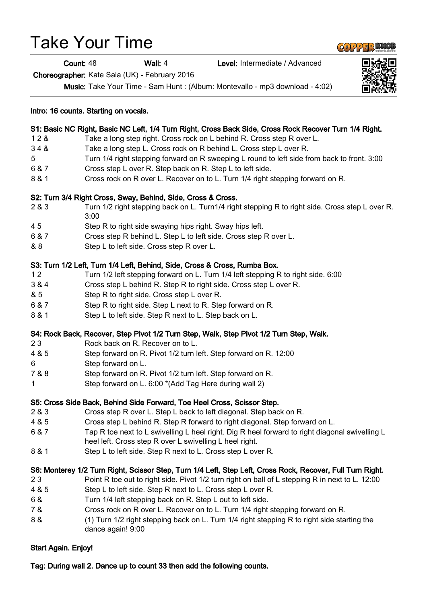# Take Your Time

Count: 48 Wall: 4 Level: Intermediate / Advanced

Choreographer: Kate Sala (UK) - February 2016

Music: Take Your Time - Sam Hunt : (Album: Montevallo - mp3 download - 4:02)

|       | S1: Basic NC Right, Basic NC Left, 1/4 Turn Right, Cross Back Side, Cross Rock Recover Turn 1/4 Right.           |
|-------|------------------------------------------------------------------------------------------------------------------|
| 128   | Take a long step right. Cross rock on L behind R. Cross step R over L.                                           |
| 348   | Take a long step L. Cross rock on R behind L. Cross step L over R.                                               |
| 5     | Turn 1/4 right stepping forward on R sweeping L round to left side from back to front. 3:00                      |
| 6 & 7 | Cross step L over R. Step back on R. Step L to left side.                                                        |
| 8 & 1 | Cross rock on R over L. Recover on to L. Turn 1/4 right stepping forward on R.                                   |
|       | S2: Turn 3/4 Right Cross, Sway, Behind, Side, Cross & Cross.                                                     |
| 2 & 3 | Turn 1/2 right stepping back on L. Turn1/4 right stepping R to right side. Cross step L over R.<br>3:00          |
| 45    | Step R to right side swaying hips right. Sway hips left.                                                         |
| 6 & 7 | Cross step R behind L. Step L to left side. Cross step R over L.                                                 |
| & 8   | Step L to left side. Cross step R over L.                                                                        |
|       | S3: Turn 1/2 Left, Turn 1/4 Left, Behind, Side, Cross & Cross, Rumba Box.                                        |
| 12    | Turn 1/2 left stepping forward on L. Turn 1/4 left stepping R to right side. 6:00                                |
| 3 & 4 | Cross step L behind R. Step R to right side. Cross step L over R.                                                |
| & 5   | Step R to right side. Cross step L over R.                                                                       |
| 6 & 7 | Step R to right side. Step L next to R. Step forward on R.                                                       |
| 8 & 1 | Step L to left side. Step R next to L. Step back on L.                                                           |
|       | S4: Rock Back, Recover, Step Pivot 1/2 Turn Step, Walk, Step Pivot 1/2 Turn Step, Walk.                          |
| 23    | Rock back on R. Recover on to L.                                                                                 |
| 4 & 5 | Step forward on R. Pivot 1/2 turn left. Step forward on R. 12:00                                                 |
| 6     | Step forward on L.                                                                                               |
| 7 & 8 | Step forward on R. Pivot 1/2 turn left. Step forward on R.                                                       |
| 1     | Step forward on L. 6:00 *(Add Tag Here during wall 2)                                                            |
|       | S5: Cross Side Back, Behind Side Forward, Toe Heel Cross, Scissor Step.                                          |
| 2 & 3 | Cross step R over L. Step L back to left diagonal. Step back on R.                                               |
| 4 & 5 | Cross step L behind R. Step R forward to right diagonal. Step forward on L.                                      |
| 6 & 7 | Tap R toe next to L swivelling L heel right. Dig R heel forward to right diagonal swivelling L                   |
|       | heel left. Cross step R over L swivelling L heel right.                                                          |
| 8 & 1 | Step L to left side. Step R next to L. Cross step L over R.                                                      |
|       | S6: Monterey 1/2 Turn Right, Scissor Step, Turn 1/4 Left, Step Left, Cross Rock, Recover, Full Turn Right.       |
| 23    | Point R toe out to right side. Pivot 1/2 turn right on ball of L stepping R in next to L. 12:00                  |
| 4 & 5 | Step L to left side. Step R next to L. Cross step L over R.                                                      |
| 6 &   | Turn 1/4 left stepping back on R. Step L out to left side.                                                       |
| 7 &   | Cross rock on R over L. Recover on to L. Turn 1/4 right stepping forward on R.                                   |
| 8 &   | (1) Turn 1/2 right stepping back on L. Turn 1/4 right stepping R to right side starting the<br>00:0 Iniene angeh |

#### Intro: 16 counts. Starting on vocals.

#### S1: Basic NC Right, Basic NC Left, 1/4 Turn Right, Cross Back Side, Cross Rock Recover Turn 1/4 Right.

- 
- 3 4 & Take a long step L. Cross rock on R behind L. Cross step L over R.
- 5 Turn 1/4 right stepping forward on R sweeping L round to left side from back to front. 3:00
- 6 & 7 Cross step L over R. Step back on R. Step L to left side.
- 8 & 1 Cross rock on R over L. Recover on to L. Turn 1/4 right stepping forward on R.

#### S2: Turn 3/4 Right Cross, Sway, Behind, Side, Cross & Cross.

- 2 & 3 Turn 1/2 right stepping back on L. Turn1/4 right stepping R to right side. Cross step L over R.
- 4 5 Step R to right side swaying hips right. Sway hips left.
- 6 & 7 Cross step R behind L. Step L to left side. Cross step R over L.
- & 8 Step L to left side. Cross step R over L.

#### S3: Turn 1/2 Left, Turn 1/4 Left, Behind, Side, Cross & Cross, Rumba Box.

- 1 2 Turn 1/2 left stepping forward on L. Turn 1/4 left stepping R to right side. 6:00
- 3 & 4 Cross step L behind R. Step R to right side. Cross step L over R.
- & 5 Step R to right side. Cross step L over R.
- 6 & 7 Step R to right side. Step L next to R. Step forward on R.
- 8 & 1 Step L to left side. Step R next to L. Step back on L.

#### S4: Rock Back, Recover, Step Pivot 1/2 Turn Step, Walk, Step Pivot 1/2 Turn Step, Walk.

- 2 3 Rock back on R. Recover on to L.
- 4 & 5 Step forward on R. Pivot 1/2 turn left. Step forward on R. 12:00
- 6 Step forward on L.
- 7 & 8 Step forward on R. Pivot 1/2 turn left. Step forward on R.
- 1 Step forward on L. 6:00 \*(Add Tag Here during wall 2)

## S5: Cross Side Back, Behind Side Forward, Toe Heel Cross, Scissor Step.

- 2 & 3 Cross step R over L. Step L back to left diagonal. Step back on R.
- 4 & 5 Cross step L behind R. Step R forward to right diagonal. Step forward on L.
- 6 & 7 Tap R toe next to L swivelling L heel right. Dig R heel forward to right diagonal swivelling L
- 8 & 1 Step L to left side. Step R next to L. Cross step L over R.

## S6: Monterey 1/2 Turn Right, Scissor Step, Turn 1/4 Left, Step Left, Cross Rock, Recover, Full Turn Right.

- 2 3 Point R toe out to right side. Pivot 1/2 turn right on ball of L stepping R in next to L. 12:00
- 4 & 5 Step L to left side. Step R next to L. Cross step L over R.
- 6 & Turn 1/4 left stepping back on R. Step L out to left side.
- 7 & Cross rock on R over L. Recover on to L. Turn 1/4 right stepping forward on R.
- 8 & (1) Turn 1/2 right stepping back on L. Turn 1/4 right stepping R to right side starting the dance again! 9:00

# Start Again. Enjoy!

Tag: During wall 2. Dance up to count 33 then add the following counts.